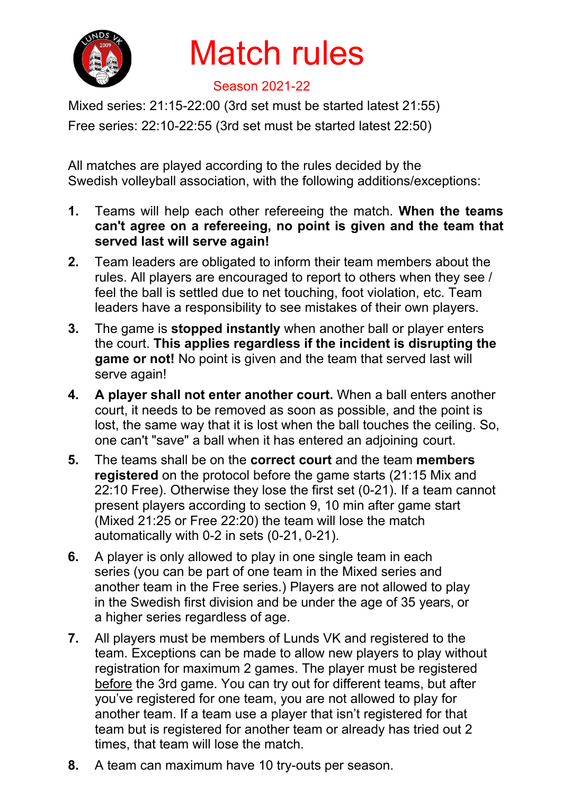

## Match rules

## Season 2021-22

Mixed series: 21:15-22:00 (3rd set must be started latest 21:55)

Free series: 22:10-22:55 (3rd set must be started latest 22:50)

All matches are played according to the rules decided by the Swedish volleyball association, with the following additions/exceptions:

- **1.** Teams will help each other refereeing the match. **When the teams can't agree on a refereeing, no point is given and the team that served last will serve again!**
- **2.** Team leaders are obligated to inform their team members about the rules. All players are encouraged to report to others when they see / feel the ball is settled due to net touching, foot violation, etc. Team leaders have a responsibility to see mistakes of their own players.
- **3.** The game is **stopped instantly** when another ball or player enters the court. **This applies regardless if the incident is disrupting the game or not!** No point is given and the team that served last will serve again!
- **4. A player shall not enter another court.** When a ball enters another court, it needs to be removed as soon as possible, and the point is lost, the same way that it is lost when the ball touches the ceiling. So, one can't "save" a ball when it has entered an adjoining court.
- **5.** The teams shall be on the **correct court** and the team **members registered** on the protocol before the game starts (21:15 Mix and 22:10 Free). Otherwise they lose the first set (0-21). If a team cannot present players according to section 9, 10 min after game start (Mixed 21:25 or Free 22:20) the team will lose the match automatically with 0-2 in sets (0-21, 0-21).
- **6.** A player is only allowed to play in one single team in each series (you can be part of one team in the Mixed series and another team in the Free series.) Players are not allowed to play in the Swedish first division and be under the age of 35 years, or a higher series regardless of age.
- **7.** All players must be members of Lunds VK and registered to the team. Exceptions can be made to allow new players to play without registration for maximum 2 games. The player must be registered before the 3rd game. You can try out for different teams, but after you've registered for one team, you are not allowed to play for another team. If a team use a player that isn't registered for that team but is registered for another team or already has tried out 2 times, that team will lose the match.
- **8.** A team can maximum have 10 try-outs per season.